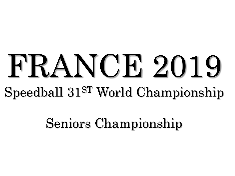# FRANCE 2019 Speedball 31ST World Championship

Seniors Championship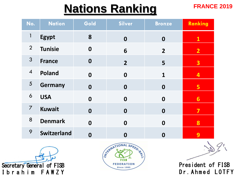### **FRANCE 2019 Nations Ranking**

| No.            | <b>Nation</b>      | Gold             | Silver           | <b>Bronze</b>    | Ranking                 |
|----------------|--------------------|------------------|------------------|------------------|-------------------------|
| $\mathbf{1}$   | <b>Egypt</b>       | 8                | $\boldsymbol{0}$ | $\boldsymbol{0}$ | $\mathbf{1}$            |
| $\overline{2}$ | <b>Tunisie</b>     | $\boldsymbol{0}$ | 6                | $\overline{2}$   | $\overline{2}$          |
| 3              | <b>France</b>      | $\boldsymbol{0}$ | $\overline{2}$   | 5                | $\overline{\mathbf{3}}$ |
| $\overline{4}$ | Poland             | $\boldsymbol{0}$ | $\boldsymbol{0}$ | 1                | 4                       |
| 5              | <b>Germany</b>     | $\boldsymbol{0}$ | $\mathbf 0$      | $\mathbf 0$      | 5                       |
| 6              | <b>USA</b>         | $\boldsymbol{0}$ | $\boldsymbol{0}$ | $\boldsymbol{0}$ | $6 \overline{6}$        |
| $\overline{7}$ | <b>Kuwait</b>      | $\boldsymbol{0}$ | $\boldsymbol{0}$ | $\mathbf 0$      | 7                       |
| 8              | <b>Denmark</b>     | $\boldsymbol{0}$ | $\mathbf 0$      | $\boldsymbol{0}$ | 8                       |
| 9              | <b>Switzerland</b> | $\boldsymbol{0}$ | $\boldsymbol{0}$ | 0                | 9                       |





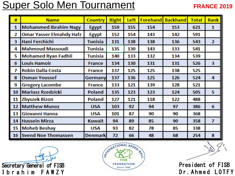### Super Solo Men Tournament

#### **FRANCE 2019**

| #  | <b>Name</b>                     | Country        | <b>Right</b> | Left | <b>Forehand</b> | <b>Backhand</b> | <b>Total</b> | <b>Rank</b>   |
|----|---------------------------------|----------------|--------------|------|-----------------|-----------------|--------------|---------------|
| 1  | <b>Mohammed Ibrahim Nagy</b>    | <b>Egypt</b>   | 159          | 155  | 154             | 153             | 621          | $\mathbf{1}$  |
| 2  | <b>Omar Yasser Elmahdy Hafz</b> | <b>Egypt</b>   | 152          | 154  | 143             | 142             | 591          |               |
| 3  | Hani Ferchichi                  | Tunisia        | 131          | 138  | 138             | 136             | 543          | $\mathbf{2}$  |
| 4  | <b>Mahmoud Massoudi</b>         | <b>Tunisia</b> | 135          | 130  | 143             | 133             | 541          |               |
| 5  | <b>Mohamed Ryan Fadhli</b>      | <b>Tunisia</b> | 140          | 133  | 132             | 134             | 539          |               |
| 6  | <b>Louis Hamoir</b>             | <b>France</b>  | 134          | 130  | 131             | 131             | 526          | 3.            |
| 7  | <b>Robin Dalla Costa</b>        | <b>France</b>  | 137          | 125  | 125             | 138             | 525          |               |
| 嚣  | <b>Osman Youssef</b>            | Germany        | 137          | 136  | 125             | 126             | 524          | 4             |
| 9  | <b>Gregory Lacombe</b>          | <b>France</b>  | 133          | 121  | 139             | 128             | 521          |               |
| 10 | <b>Mariusz Rzedzicki</b>        | Poland         | 135          | 123  | 123             | 124             | 505          | 5             |
| 11 | <b>Zbyszek Bizon</b>            | Poland         | 127          | 121  | 118             | 122             | 488          |               |
| 12 | <b>Matthew Munoz</b>            | <b>USA</b>     | 103          | 92   | 94              | 97              | 386          | 6             |
| 13 | Giovanni Hanna                  | <b>USA</b>     | 101          | 87   | 90              | 90              | 368          |               |
| 14 | <b>Hussein Mirza</b>            | <b>Kuwait</b>  | 94           | 89   | 85              | 90              | 358          | $\mathcal{I}$ |
| 15 | <b>Moheb Beshay</b>             | <b>USA</b>     | 93.          | 82   | 78              | 85              | 338          |               |
| 16 | <b>Svend Noe Thomassen</b>      | <b>Denmark</b> | 72           | 66   | 48              | 68              | 254          | 8             |



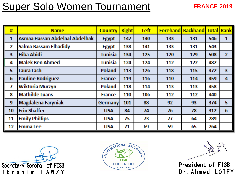### Super Solo Women Tournament

#### **FRANCE 2019**

| #            | <b>Name</b>                    | <b>Country</b> | <b>Right</b> | Left |     | <b>Forehand Backhand Total Rank</b> |     |                |
|--------------|--------------------------------|----------------|--------------|------|-----|-------------------------------------|-----|----------------|
| 1            | Asmaa Hassan Abdelaal Abdelhak | <b>Egypt</b>   | 142          | 140  | 133 | 131                                 | 546 | 1              |
| $\mathbf{2}$ | Salma Bassam Elhadidy          | <b>Egypt</b>   | 138          | 141  | 133 | 131                                 | 543 |                |
| 3            | <b>Hiba Abidi</b>              | <b>Tunisia</b> | 134          | 125  | 120 | 129                                 | 508 | $\mathbf{2}$   |
| 4            | <b>Malek Ben Ahmed</b>         | <b>Tunisia</b> | 124          | 124  | 112 | 122                                 | 482 |                |
| 5            | Laura Lach                     | Poland         | 113          | 126  | 118 | 115                                 | 472 | 3              |
| 6            | <b>Pauline Rodriguez</b>       | <b>France</b>  | 119          | 116  | 110 | 114                                 | 459 | 4              |
| 7            | Wiktoria Murzyn                | Poland         | 118          | 114  | 113 | 113                                 | 458 |                |
| 8            | <b>Mathilde Luans</b>          | <b>France</b>  | 110          | 106  | 112 | 112                                 | 440 |                |
| 9            | Magdalena Faryniak             | <b>Germany</b> | 101          | 88   | 92  | 93                                  | 374 | 5 <sub>1</sub> |
| 10           | <b>Erin Shaffer</b>            | <b>USA</b>     | 84           | 74   | 76  | 78                                  | 312 | 6              |
| 11           | <b>Emily Phillips</b>          | <b>USA</b>     | 75           | 73   | 77  | 64                                  | 289 |                |
| 12           | <b>Emma</b> Lee                | <b>USA</b>     | 71           | 69   | 59  | 65                                  | 264 |                |



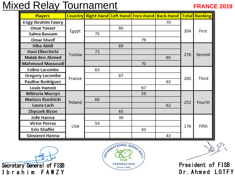### Mixed Relay Tournament

#### **FRANCE 2019**

| <b>Players</b>            | <b>Country</b> |    |    |    | <b>Right Hand Left Hand Fore-Hand Back-Hand Total Ranking</b> |     |              |
|---------------------------|----------------|----|----|----|---------------------------------------------------------------|-----|--------------|
| <b>Engy Ibrahim Fawzy</b> |                |    |    |    | 70                                                            |     |              |
| <b>Omar Yasser</b>        |                |    | 80 |    |                                                               | 304 | First        |
| Salma Bassam              | Egypt          | 75 |    |    |                                                               |     |              |
| <b>Omar Sherif</b>        |                |    |    | 79 |                                                               |     |              |
| <b>Hiba Abidi</b>         |                |    | 69 |    |                                                               |     |              |
| Hani Elferchichi          | Tunisia        | 72 |    |    |                                                               | 276 | Second       |
| <b>Malak Ben Ahmed</b>    |                |    |    |    | 65                                                            |     |              |
| <b>Mahmoud Massoudi</b>   |                |    |    | 70 |                                                               |     |              |
| <b>Celine Lacombe</b>     |                | 63 |    |    |                                                               |     |              |
| <b>Gregory Lacombe</b>    | France         |    | 67 |    |                                                               | 260 | <b>Third</b> |
| <b>Pauline Rodriguez</b>  |                |    |    |    | 63                                                            |     |              |
| <b>Louis Hamoir</b>       |                |    |    | 67 |                                                               |     |              |
| Wiktoria Murzyn           |                |    |    | 59 |                                                               |     |              |
| <b>Mariuzs Rzedzicki</b>  | Poland         | 66 |    |    |                                                               | 252 | Fourth       |
| Laura Lach                |                |    |    |    | 62                                                            |     |              |
| <b>Zbyszek Bizon</b>      |                |    | 65 |    |                                                               |     |              |
| Jolie Hanna               |                |    | 36 |    |                                                               |     |              |
| <b>Victor Porras</b>      |                | 54 |    |    |                                                               |     | Fifth        |
| <b>Erin Shaffer</b>       | <b>USA</b>     |    |    | 43 |                                                               | 176 |              |
| Giovanni Hanna            |                |    |    |    | 43                                                            |     |              |

Secretary General of FISB Ibrahim FAWZY

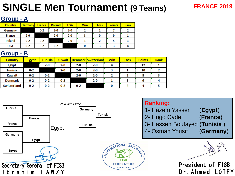### **SINGLE Men Tournament (9 Teams)**

#### **FRANCE 2019**

#### **Group - A**

| <b>Country</b> | <b>Germany</b> | <b>France</b> | <b>Poland</b> | <b>USA</b> | <b>Win</b> | <b>Loss</b> | <b>Points</b> | Rank |
|----------------|----------------|---------------|---------------|------------|------------|-------------|---------------|------|
| Germany        |                | $0 - 2$       | $2 - 0$       | $2 - 0$    |            |             |               |      |
| France         | $2 - 0$        |               | $2 - 0$       | $2 - 0$    |            |             |               |      |
| <b>Poland</b>  | $0-2$          | $0 - 2$       |               | $2 - 0$    |            |             |               |      |
| <b>USA</b>     | $0 - 2$        | $0 - 2$       | $0 - 2$       |            |            |             |               |      |

#### **Group - B**

| <b>Country</b>     | <b>Egypt</b> | <b>Tunisia</b> | <b>Kuwait</b> |         | Denmark Switzerland | Win | <b>Loss</b> | <b>Points</b> | Rank |
|--------------------|--------------|----------------|---------------|---------|---------------------|-----|-------------|---------------|------|
| <b>Egypt</b>       |              | $2 - 0$        | $2 - 0$       | $2 - 0$ | $2 - 0$             | 4   | 0           | 12            |      |
| <b>Tunisia</b>     | $0 - 2$      |                | $2 - 0$       | 2-0     | $2 - 0$             |     |             | 10            |      |
| <b>Kuwait</b>      | $0 - 2$      | $0 - 2$        |               | $2 - 0$ | $2 - 0$             |     |             | 8             |      |
| <b>Denmark</b>     | $0 - 2$      | $0 - 2$        | $0 - 2$       |         | $2 - 0$             |     |             | 6             |      |
| <b>Switzerland</b> | $0 - 2$      | $0 - 2$        | $0 - 2$       | $0 - 2$ |                     | 0   | Δ           | Δ             |      |
|                    |              |                |               |         |                     |     |             |               |      |

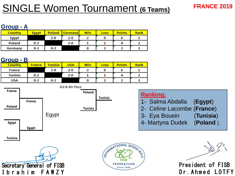### SINGLE Women Tournament **(6 Teams)**

#### **FRANCE 2019**

#### **Group - A**

| <b>Country</b> | <b>Egypt</b> | <b>Poland</b> | Germany | Win | Lose | <b>Points</b> | Rank |
|----------------|--------------|---------------|---------|-----|------|---------------|------|
| <b>Egypt</b>   |              | $2 - 0$       | $2 - 0$ |     |      |               |      |
| <b>Poland</b>  | $0 - 2$      |               | $2 - 0$ |     |      |               |      |
| Germany        | $0 - 2$      | $0 - 2$       |         |     |      |               |      |

#### **Group - B**

| ______         |               |                |            |     |      |               |      |
|----------------|---------------|----------------|------------|-----|------|---------------|------|
| <b>Country</b> | <b>France</b> | <b>Tunisia</b> | <b>USA</b> | Win | Lose | <b>Points</b> | Rank |
| France         |               | $2 - 0$        | 2-0        |     |      |               |      |
| Tunisia        | $0 - 2$       |                | $2 - 0$    |     |      |               |      |
| <b>USA</b>     | $0 - 2$       | $0 - 2$        |            |     |      |               |      |
|                |               |                |            |     |      |               |      |

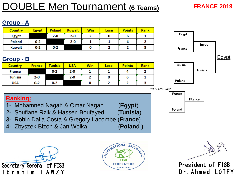### **OUBLE Men Tournament (6 Teams)**

#### **FRANCE 2019**

#### **Group - A**

| <b>Country</b> | <b>Egypt</b> | <b>Poland</b> | <b>Kuwait</b> | Win | Lose | <b>Points</b> | <b>Rank</b> |
|----------------|--------------|---------------|---------------|-----|------|---------------|-------------|
| <b>Egypt</b>   |              | $2 - 0$       | $2 - 0$       |     |      | o             |             |
| Poland         | $0 - 2$      |               | $2 - 0$       |     |      |               |             |
| <b>Kuwait</b>  | $0 - 2$      | $0 - 2$       |               |     |      |               |             |

#### **Group - B**

| <b>Country</b> | <b>France</b> | <mark>Tunisia</mark> | <b>USA</b> | <b>Win</b> | Lose | <b>Points</b> | Rank |
|----------------|---------------|----------------------|------------|------------|------|---------------|------|
| <b>France</b>  |               | $0 - 2$              | $2 - 0$    |            |      |               |      |
| Tunisia        | $2-0$         |                      | $2 - 0$    |            |      |               |      |
| <b>USA</b>     | $0 - 2$       | $0 - 2$              |            |            |      |               |      |



**FRance**



**France**

**Poland**

#### **Ranking:**

- 1- Mohamned Nagah & Omar Nagah (**Egypt**)
- 2- Soufiane Rzik & Hassen Boufayed (**Tunisia**)
- 3- Robin Dalla Costa & Gregory Lacombe (**France**)
- 4- Zbyszek Bizon & Jan Wolka (**Poland** )





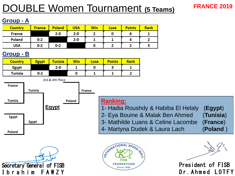### DOUBLE Women Tournament **(5 Teams)**

#### **FRANCE 2019**

#### **Group - A**

| <b>Country</b> | <b>France</b> | <b>Poland</b> | <b>USA</b> | <b>Win</b> | Lose | <b>Points</b> | <b>Rank</b> |
|----------------|---------------|---------------|------------|------------|------|---------------|-------------|
| <b>France</b>  |               | $2 - 0$       | $2 - 0$    |            |      |               |             |
| Poland         | $0 - 2$       |               | $2 - 0$    |            |      |               |             |
| <b>USA</b>     | $0 - 2$       | $0 - 2$       |            | u          |      |               |             |

#### **Group - B**

| <b>Country</b> | <b>Egypt</b> | <b>Tunisia</b> | <b>Win</b> | Lose | <b>Points</b> | <b>Rank</b> |
|----------------|--------------|----------------|------------|------|---------------|-------------|
| <b>Egypt</b>   |              | $2 - 0$        |            |      |               |             |
| Tunisia        | $0 - 2$      |                | 0          |      |               |             |

**Egypt France Tunisia Egypt Egypt Poland Tunisia** *3rd & 4th Place* **France Poland**

## Secretary General of FISB Ibrahim FAWZY

#### **Ranking:**

- 1- Hadia Roushdy & Habiba El Helaly (**Egypt**)
- 2- Eya Bouine & Malak Ben Ahmed (**Tunisia**)
- 3- Mathilde Luans & Celine Lacombe (**France**)
- 4- Martyna Dudek & Laura Lach (**Poland** )

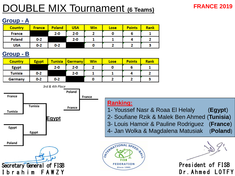### DOUBLE MIX Tournament **(6 Teams)**

#### **FRANCE 2019**

#### **Group - A**

| <b>Country</b> | <b>France</b> | <b>Poland</b> | <b>USA</b> | Win | Lose | <b>Points</b> | <b>Rank</b> |
|----------------|---------------|---------------|------------|-----|------|---------------|-------------|
| France         |               | $2 - 0$       | $2 - 0$    |     |      |               |             |
| Poland         | $0 - 2$       |               | $2 - 0$    |     |      |               |             |
| <b>USA</b>     | $0 - 2$       | $0 - 2$       |            |     |      |               |             |

#### **Group - B**

| <b>Country</b> | <b>Egypt</b> | Tunisia | <b>Germany</b> | <b>Win</b> | Lose | <b>Points</b> | <b>Rank</b> |
|----------------|--------------|---------|----------------|------------|------|---------------|-------------|
| <b>Egypt</b>   |              | $2 - 0$ | $2 - 0$        |            |      | о             |             |
| <b>Tunisia</b> | $0 - 2$      |         | $2 - 0$        |            |      |               |             |
| Germany        | $0 - 2$      | $0 - 2$ |                |            |      |               |             |



#### **Ranking:**

- 1- Youssef Nasr & Roaa El Helaly (**Egypt**)
- 2- Soufiane Rzik & Malek Ben Ahmed (**Tunisia**)
- 3- Louis Hamoir & Pauline Rodriguez (**France**)
- 4- Jan Wolka & Magdalena Matusiak (**Poland**)

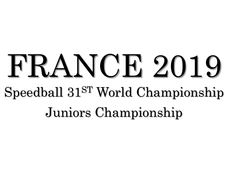## FRANCE 2019 Speedball 31ST World Championship Juniors Championship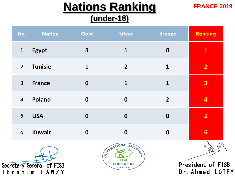### **Nations Ranking**

### **(under-18)**

**FRANCE 2019**

Dr.Ahmed LOTFY

| No.            | <b>Nation</b>             | Gold             | <b>Silver</b>                                                                    | <b>Bronze</b>    | Ranking                 |
|----------------|---------------------------|------------------|----------------------------------------------------------------------------------|------------------|-------------------------|
| $\mathbf{1}$   | <b>Egypt</b>              | 3                | $\mathbf{1}$                                                                     | $\boldsymbol{0}$ | $\mathbf{1}$            |
| $\overline{2}$ | <b>Tunisie</b>            | $\mathbf 1$      | $\overline{2}$                                                                   | $\mathbf{1}$     | $\overline{2}$          |
| $\mathfrak{Z}$ | <b>France</b>             | $\boldsymbol{0}$ | 1                                                                                | $\mathbf{1}$     | $\overline{\mathbf{3}}$ |
| $\overline{4}$ | <b>Poland</b>             | $\boldsymbol{0}$ | $\boldsymbol{0}$                                                                 | $\overline{2}$   | $\overline{4}$          |
| 5              | <b>USA</b>                | $\boldsymbol{0}$ | $\boldsymbol{0}$                                                                 | $\boldsymbol{0}$ | 5                       |
| 6              | <b>Kuwait</b>             | $\boldsymbol{0}$ | $\boldsymbol{0}$                                                                 | $\boldsymbol{0}$ | 6                       |
|                | Secretary General of FISB |                  | STRAND TIONAL SPEED. BY<br><b>FISB</b><br><b>FEDERATION</b><br><b>Since 1985</b> |                  | President of FISB       |

Ibrahim FAWZY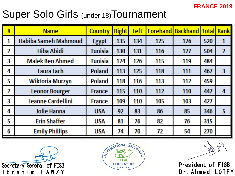#### **FRANCE 2019**

### **Super Solo Girls (under 18) Tournament**

| # | <b>Name</b>              | <b>Country</b> | <b>Right</b> | Left |     | <b>Forehand Backhand Total</b> |     | <b>Rank</b>             |
|---|--------------------------|----------------|--------------|------|-----|--------------------------------|-----|-------------------------|
| 1 | Habiba Sameh Mahmoud     | <b>Egypt</b>   | 135          | 134  | 125 | 126                            | 520 | 1                       |
| 2 | <b>Hiba Abidi</b>        | Tunisia        | 130          | 131  | 116 | 127                            | 504 | $\mathbf{2}$            |
| 3 | <b>Malek Ben Ahmed</b>   | Tunisia        | 124          | 126  | 115 | 119                            | 484 |                         |
| 4 | Laura Lach               | <b>Poland</b>  | 113          | 125  | 118 | 111                            | 467 | $\overline{\mathbf{3}}$ |
| 5 | Wiktoria Murzyn          | Poland         | 118          | 116  | 113 | 112                            | 459 |                         |
| 2 | <b>Leonor Bourger</b>    | <b>France</b>  | 115          | 110  | 112 | 110                            | 447 | 4                       |
| 3 | <b>Jeanne Cardellini</b> | France         | 109          | 110  | 105 | 103                            | 427 |                         |
| 4 | <b>Jolie Hanna</b>       | <b>USA</b>     | 92           | 83   | 86  | 85                             | 346 | 5                       |
| 5 | <b>Erin Shaffer</b>      | <b>USA</b>     | 81           | 76   | 82. | 76                             | 315 |                         |
| 6 | <b>Emily Phillips</b>    | <b>USA</b>     | 74           | 70   | 72. | 54                             | 270 |                         |



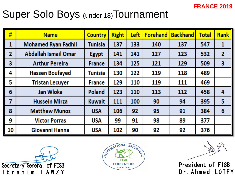#### **FRANCE 2019**

### **Super Solo Boys (under 18) Tournament**

| #  | <b>Name</b>                 | <b>Country</b> | <b>Right</b> | Left | <b>Forehand</b> | <b>Backhand</b> | <b>Total</b> | <b>Rank</b> |
|----|-----------------------------|----------------|--------------|------|-----------------|-----------------|--------------|-------------|
| 1  | <b>Mohamed Ryan Fadhli</b>  | Tunisia        | 137          | 133  | 140             | 137             | 547          | 1           |
| 2  | <b>Abdallah Ismail Omar</b> | <b>Egypt</b>   | 141          | 141  | 127             | 123             | 532          | 2           |
| 3  | <b>Arthur Pereira</b>       | <b>France</b>  | 134          | 125  | 121             | 129             | 509          | 3           |
| 4  | <b>Hassen Boufayed</b>      | Tunisia        | 130          | 122  | 119             | 118             | 489          |             |
| 5  | <b>Tristan Lecuyer</b>      | <b>France</b>  | 129          | 110  | 119             | 111             | 469          |             |
| 6  | <b>Jan Wloka</b>            | <b>Poland</b>  | 123          | 110  | 113             | 112             | 458          | 4           |
| 7  | <b>Hussein Mirza</b>        | <b>Kuwait</b>  | 111          | 100  | 90              | 94              | 395          | 5           |
| 8  | <b>Matthew Munoz</b>        | <b>USA</b>     | 106          | 92   | 95              | 91              | 384          | 6           |
| 9  | <b>Victor Porras</b>        | <b>USA</b>     | 99           | 91   | 98              | 89              | 377          |             |
| 10 | Giovanni Hanna              | <b>USA</b>     | 102          | 90   | 92              | 92              | 376          |             |



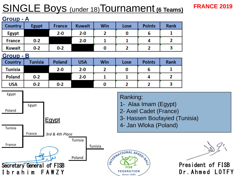### SINGLE Boys (under 18)Tournament **(6 Teams)**

#### **Group - A**

| Country       | <b>Egypt</b> | France  | <b>Kuwait</b> | Win | Lose | <b>Points</b> | <b>Rank</b> |
|---------------|--------------|---------|---------------|-----|------|---------------|-------------|
| <b>Egypt</b>  |              | $2 - 0$ | $2 - 0$       |     |      |               |             |
| <b>France</b> | $0 - 2$      |         | $2 - 0$       |     |      |               |             |
| <b>Kuwait</b> | $0 - 2$      | $0 - 2$ |               |     |      |               |             |

#### **Group - B**

| <b>Country</b> | Tunisia | <b>Poland</b> | <b>USA</b> | Win | Lose | <b>Points</b> | Rank |
|----------------|---------|---------------|------------|-----|------|---------------|------|
| Tunisia        |         | $2 - 0$       | $2 - 0$    |     |      |               |      |
| <b>Poland</b>  | $0 - 2$ |               | $2 - 0$    |     |      |               |      |
| <b>USA</b>     | $0 - 2$ | $0 - 2$       |            |     |      |               |      |



**FRANCE 2019**